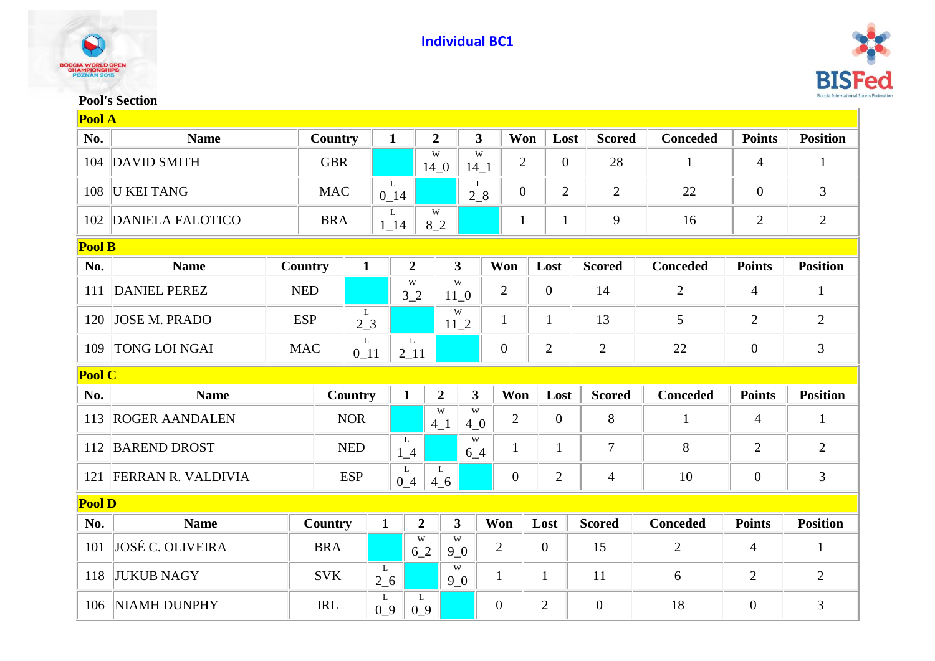



## **Pool's Section**

|               | Pool A                    |            |            |                |               |                      |                         |                         |                  |                |                |                |                 |                |                 |
|---------------|---------------------------|------------|------------|----------------|---------------|----------------------|-------------------------|-------------------------|------------------|----------------|----------------|----------------|-----------------|----------------|-----------------|
| No.           | <b>Name</b>               |            | Country    |                | $\mathbf{1}$  | $\overline{2}$       |                         | $\overline{\mathbf{3}}$ | Won              |                | Lost           | <b>Scored</b>  | <b>Conceded</b> | <b>Points</b>  | <b>Position</b> |
| 104           | <b>DAVID SMITH</b>        |            | <b>GBR</b> |                |               | W<br>14 <sub>0</sub> |                         | W<br>$14\_1$            | $\mathbf{2}$     |                | $\overline{0}$ | 28             | $\mathbf{1}$    | $\overline{4}$ | 1               |
| 108           | <b>U KEI TANG</b>         |            | <b>MAC</b> |                | L<br>$0_14$   |                      |                         | L<br>$2_{8}$            | $\boldsymbol{0}$ |                | $\overline{2}$ | $\overline{2}$ | 22              | $\overline{0}$ | 3               |
| 102           | <b>DANIELA FALOTICO</b>   |            | <b>BRA</b> |                | L<br>$1 - 14$ | W<br>8 <sub>2</sub>  |                         |                         | $\mathbf{1}$     |                | $\mathbf{1}$   | 9              | 16              | $\overline{2}$ | $\overline{2}$  |
| <b>Pool B</b> |                           |            |            |                |               |                      |                         |                         |                  |                |                |                |                 |                |                 |
| No.           | <b>Name</b>               | Country    |            | $\mathbf{1}$   |               | $\overline{2}$       | $\mathbf{3}$            |                         | Won              |                | Lost           | <b>Scored</b>  | <b>Conceded</b> | <b>Points</b>  | <b>Position</b> |
| 111           | <b>DANIEL PEREZ</b>       | <b>NED</b> |            |                |               | W<br>3 <sub>2</sub>  | W<br>$11_0$             |                         | $\overline{2}$   |                | $\theta$       | 14             | $\overline{2}$  | 4              | $\mathbf{1}$    |
| 120           | <b>JOSE M. PRADO</b>      | <b>ESP</b> |            | L<br>$2-3$     |               |                      | W<br>$11_2$             |                         | 1                |                | 1              | 13             | 5               | $\overline{2}$ | 2               |
| 109           | <b>TONG LOI NGAI</b>      |            | <b>MAC</b> | L<br>$0_11$    |               | L<br>$2 - 11$        |                         |                         | $\boldsymbol{0}$ |                | $\overline{2}$ | $\overline{2}$ | 22              | $\overline{0}$ | $\mathfrak{Z}$  |
|               | Pool C                    |            |            |                |               |                      |                         |                         |                  |                |                |                |                 |                |                 |
| No.           | <b>Name</b>               |            |            | <b>Country</b> | $\mathbf{1}$  |                      | $\overline{2}$          | 3 <sup>1</sup>          | Won              |                | Lost           | <b>Scored</b>  | <b>Conceded</b> | <b>Points</b>  | <b>Position</b> |
| 113           | <b>ROGER AANDALEN</b>     |            |            | <b>NOR</b>     |               | $4-1$                | W                       | W<br>$4_{0}$            | $\overline{2}$   |                | $\overline{0}$ | 8              | $\mathbf{1}$    | $\overline{4}$ | $\mathbf{1}$    |
| 112           | <b>BAREND DROST</b>       |            |            | <b>NED</b>     | L<br>$1_4$    |                      |                         | W<br>$6-4$              | $\mathbf{1}$     |                | $\mathbf{1}$   | 7              | 8               | $\overline{2}$ | $\overline{2}$  |
| 121           | <b>FERRAN R. VALDIVIA</b> |            |            | <b>ESP</b>     | L<br>$0-4$    |                      | L<br>4 <sub>6</sub>     |                         | $\overline{0}$   |                | $\overline{2}$ | $\overline{4}$ | 10              | $\mathbf{0}$   | 3               |
|               | <b>Pool D</b>             |            |            |                |               |                      |                         |                         |                  |                |                |                |                 |                |                 |
| No.           | <b>Name</b>               |            | Country    |                | $\mathbf{1}$  | $\overline{2}$       | $\overline{\mathbf{3}}$ |                         | Won              | Lost           |                | <b>Scored</b>  | <b>Conceded</b> | <b>Points</b>  | <b>Position</b> |
| 101           | <b>JOSÉ C. OLIVEIRA</b>   |            | <b>BRA</b> |                |               | W<br>6 2             | W<br>9 <sub>0</sub>     |                         | $\overline{2}$   | $\mathbf{0}$   |                | 15             | $\overline{2}$  | 4              | $\mathbf{1}$    |
| 118           | <b>JUKUB NAGY</b>         |            | <b>SVK</b> |                | L<br>$2\_6$   |                      | W<br>9 <sub>0</sub>     |                         | $\mathbf{1}$     | $\mathbf{1}$   |                | 11             | 6               | $\overline{2}$ | 2               |
| 106           | <b>NIAMH DUNPHY</b>       |            | <b>IRL</b> |                | L<br>$0_9$    | L<br>$0_9$           |                         |                         | $\boldsymbol{0}$ | $\overline{2}$ |                | $\overline{0}$ | 18              | $\overline{0}$ | $\overline{3}$  |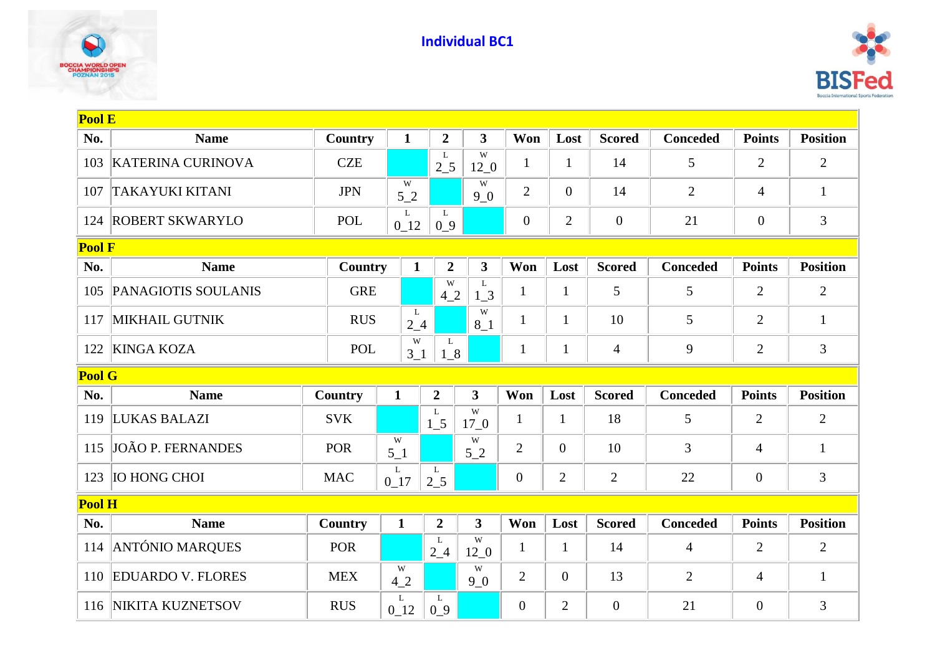



| <b>Pool E</b> |                            |            |                             |                  |                         |                |                |                |                 |                |                 |
|---------------|----------------------------|------------|-----------------------------|------------------|-------------------------|----------------|----------------|----------------|-----------------|----------------|-----------------|
| No.           | <b>Name</b>                | Country    | $\mathbf{1}$                | $\overline{2}$   | $\overline{\mathbf{3}}$ | Won            | Lost           | <b>Scored</b>  | <b>Conceded</b> | <b>Points</b>  | <b>Position</b> |
| 103           | <b>KATERINA CURINOVA</b>   | <b>CZE</b> |                             | L<br>$2\_5$      | W<br>$12\_0$            | 1              | $\mathbf{1}$   | 14             | 5               | $\overline{2}$ | $\sqrt{2}$      |
| 107           | <b>TAKAYUKI KITANI</b>     | <b>JPN</b> | W<br>52                     |                  | W<br>90                 | $\overline{2}$ | $\overline{0}$ | 14             | $\overline{2}$  | 4              | $\mathbf{1}$    |
| 124           | <b>ROBERT SKWARYLO</b>     | <b>POL</b> | L<br>$0_{12}$               | L<br>$0_9$       |                         | $\overline{0}$ | $\overline{2}$ | $\overline{0}$ | 21              | $\overline{0}$ | 3               |
| <b>Pool F</b> |                            |            |                             |                  |                         |                |                |                |                 |                |                 |
| No.           | <b>Name</b>                | Country    | $\mathbf{1}$                | $\overline{2}$   | $\mathbf{3}$            | Won            | Lost           | <b>Scored</b>  | <b>Conceded</b> | <b>Points</b>  | <b>Position</b> |
| 105           | <b>PANAGIOTIS SOULANIS</b> | <b>GRE</b> |                             | W<br>42          | L<br>1 <sub>3</sub>     | $\mathbf{1}$   | $\mathbf{1}$   | 5              | 5               | $\overline{2}$ | $\overline{2}$  |
| 117           | <b>MIKHAIL GUTNIK</b>      | <b>RUS</b> | L<br>$2_{-}4$               |                  | W<br>$8-1$              | $\mathbf{1}$   | $\mathbf{1}$   | 10             | 5               | $\overline{2}$ | $\mathbf{1}$    |
| 122           | <b>KINGA KOZA</b>          |            | W<br><b>POL</b><br>$3_{-1}$ |                  | $1_{8}$                 | $\mathbf{1}$   | $\mathbf{1}$   | $\overline{4}$ | 9               | $\overline{2}$ | 3               |
| <b>Pool G</b> |                            |            |                             |                  |                         |                |                |                |                 |                |                 |
| No.           | <b>Name</b>                | Country    | $\mathbf{1}$                | $\boldsymbol{2}$ | 3                       | Won            | Lost           | <b>Scored</b>  | <b>Conceded</b> | <b>Points</b>  | <b>Position</b> |
| 119           | LUKAS BALAZI               | <b>SVK</b> |                             | L<br>$1\_5$      | W<br>17 <sub>0</sub>    | $\mathbf{1}$   | $\mathbf{1}$   | 18             | 5               | $\overline{2}$ | $\overline{2}$  |
| 115           | <b>JOÃO P. FERNANDES</b>   | <b>POR</b> | W<br>$5-1$                  |                  | W<br>52                 | $\overline{2}$ | $\theta$       | 10             | 3               | $\overline{4}$ | $\mathbf{1}$    |
| 123           | <b>IO HONG CHOI</b>        | <b>MAC</b> | L<br>$0_17$                 | L<br>$2\_5$      |                         | $\overline{0}$ | $\overline{2}$ | $\overline{2}$ | 22              | $\overline{0}$ | 3               |
| Pool H        |                            |            |                             |                  |                         |                |                |                |                 |                |                 |
| No.           | <b>Name</b>                | Country    | $\mathbf{1}$                | $\overline{2}$   | $\overline{\mathbf{3}}$ | Won            | Lost           | <b>Scored</b>  | <b>Conceded</b> | <b>Points</b>  | <b>Position</b> |
| 114           | <b>ANTÓNIO MARQUES</b>     | <b>POR</b> |                             | L<br>$2_{-}4$    | W<br>12 <sub>0</sub>    | 1              | 1              | 14             | $\overline{4}$  | $\overline{2}$ | $\overline{2}$  |
| 110           | <b>EDUARDO V. FLORES</b>   | <b>MEX</b> | W<br>42                     |                  | W<br>9 <sub>0</sub>     | $\overline{2}$ | $\overline{0}$ | 13             | $\overline{2}$  | $\overline{4}$ | $\mathbf{1}$    |
| 116           | NIKITA KUZNETSOV           | <b>RUS</b> | L<br>$0_{12}$               | L<br>$0_9$       |                         | $\overline{0}$ | $\overline{2}$ | $\overline{0}$ | 21              | $\overline{0}$ | 3               |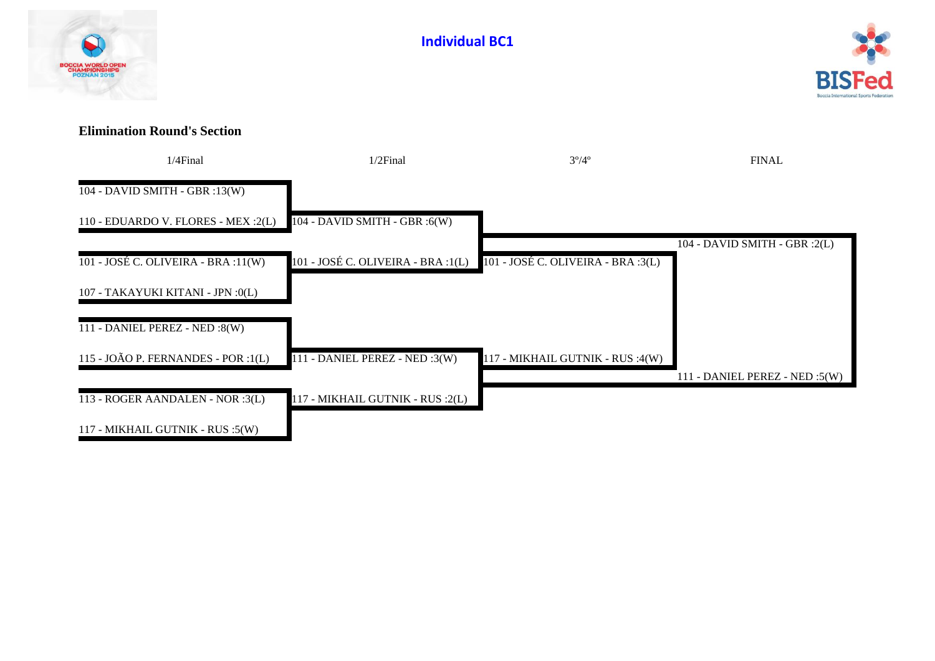



## **Elimination Round's Section**

| 1/4Final                               | $1/2$ Final                        | $3^{\circ}/4^{\circ}$              | <b>FINAL</b>                      |
|----------------------------------------|------------------------------------|------------------------------------|-----------------------------------|
| 104 - DAVID SMITH - GBR :13(W)         |                                    |                                    |                                   |
| 110 - EDUARDO V. FLORES - MEX :2(L)    | $104 - DAVID$ SMITH - GBR :6(W)    |                                    |                                   |
|                                        |                                    |                                    | 104 - DAVID SMITH - GBR :2(L)     |
| $101 - JOSÉ C$ . OLIVEIRA - BRA :11(W) | 101 - JOSÉ C. OLIVEIRA - BRA :1(L) | 101 - JOSÉ C. OLIVEIRA - BRA :3(L) |                                   |
| 107 - TAKAYUKI KITANI - JPN :0(L)      |                                    |                                    |                                   |
| 111 - DANIEL PEREZ - NED :8(W)         |                                    |                                    |                                   |
| 115 - JOÃO P. FERNANDES - POR :1(L)    | 111 - DANIEL PEREZ - NED :3(W)     | 117 - MIKHAIL GUTNIK - RUS :4(W)   |                                   |
|                                        |                                    |                                    | 111 - DANIEL PEREZ - NED : $5(W)$ |
| 113 - ROGER AANDALEN - NOR :3(L)       | 117 - MIKHAIL GUTNIK - RUS :2(L)   |                                    |                                   |
| 117 - MIKHAIL GUTNIK - RUS :5(W)       |                                    |                                    |                                   |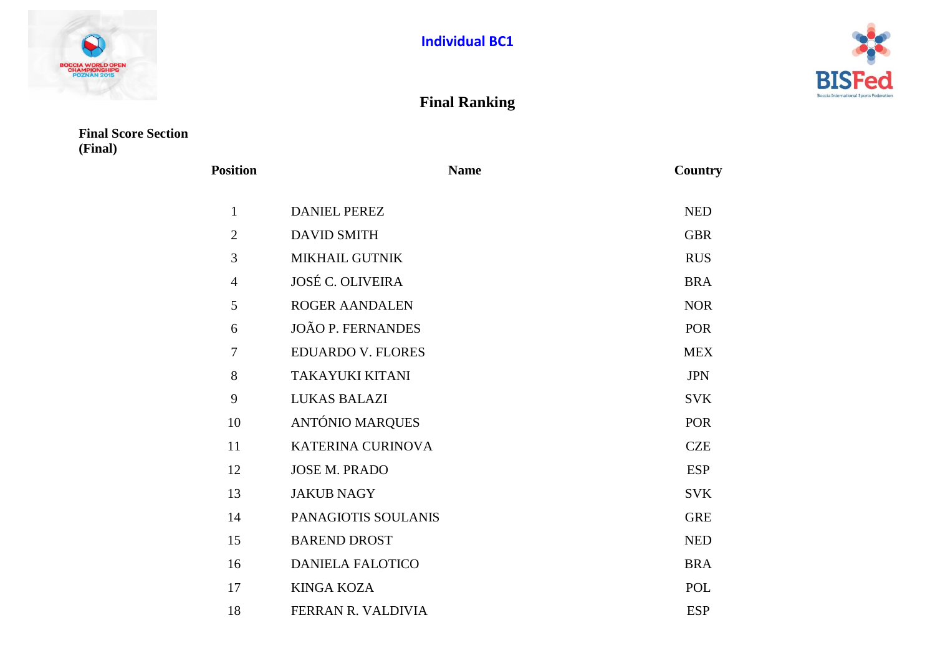



## **Final Ranking**

**Final Score Section (Final)**

| <b>Position</b> | <b>Name</b>              | Country    |
|-----------------|--------------------------|------------|
| 1               | <b>DANIEL PEREZ</b>      | <b>NED</b> |
| $\overline{2}$  | <b>DAVID SMITH</b>       | <b>GBR</b> |
| 3               | <b>MIKHAIL GUTNIK</b>    | <b>RUS</b> |
| $\overline{4}$  | <b>JOSÉ C. OLIVEIRA</b>  | <b>BRA</b> |
| 5               | <b>ROGER AANDALEN</b>    | <b>NOR</b> |
| 6               | <b>JOÃO P. FERNANDES</b> | <b>POR</b> |
| 7               | <b>EDUARDO V. FLORES</b> | <b>MEX</b> |
| 8               | <b>TAKAYUKI KITANI</b>   | <b>JPN</b> |
| 9               | <b>LUKAS BALAZI</b>      | <b>SVK</b> |
| 10              | <b>ANTÓNIO MARQUES</b>   | <b>POR</b> |
| 11              | <b>KATERINA CURINOVA</b> | <b>CZE</b> |
| 12              | <b>JOSE M. PRADO</b>     | <b>ESP</b> |
| 13              | <b>JAKUB NAGY</b>        | <b>SVK</b> |
| 14              | PANAGIOTIS SOULANIS      | <b>GRE</b> |
| 15              | <b>BAREND DROST</b>      | <b>NED</b> |
| 16              | <b>DANIELA FALOTICO</b>  | <b>BRA</b> |
| 17              | <b>KINGA KOZA</b>        | <b>POL</b> |
| 18              | FERRAN R. VALDIVIA       | <b>ESP</b> |